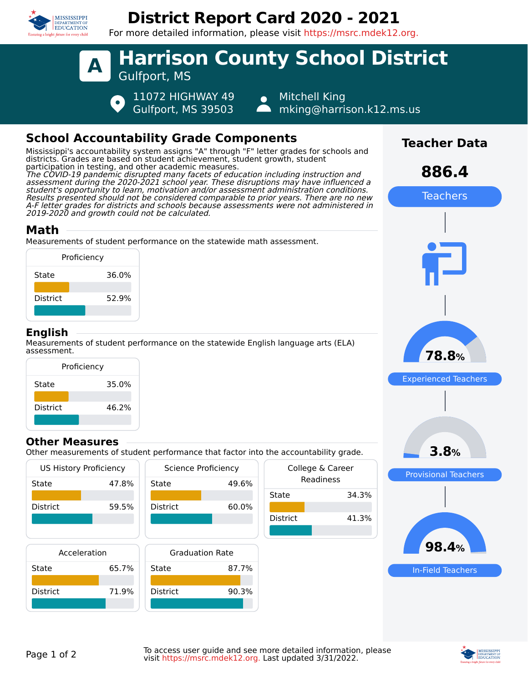

# **District Report Card 2020 - 2021**

For more detailed information, please visit https://msrc.mdek12.org.



# **School Accountability Grade Components**

Mississippi's accountability system assigns "A" through "F" letter grades for schools and districts. Grades are based on student achievement, student growth, student participation in testing, and other academic measures. The COVID-19 pandemic disrupted many facets of education including instruction and assessment during the 2020-2021 school year. These disruptions may have influenced a student's opportunity to learn, motivation and/or assessment administration conditions. Results presented should not be considered comparable to prior years. There are no new A-F letter grades for districts and schools because assessments were not administered in

2019-2020 and growth could not be calculated.

### **Math**

Measurements of student performance on the statewide math assessment.



### **English**

Measurements of student performance on the statewide English language arts (ELA) assessment.



#### **Other Measures**

Other measurements of student performance that factor into the accountability grade.